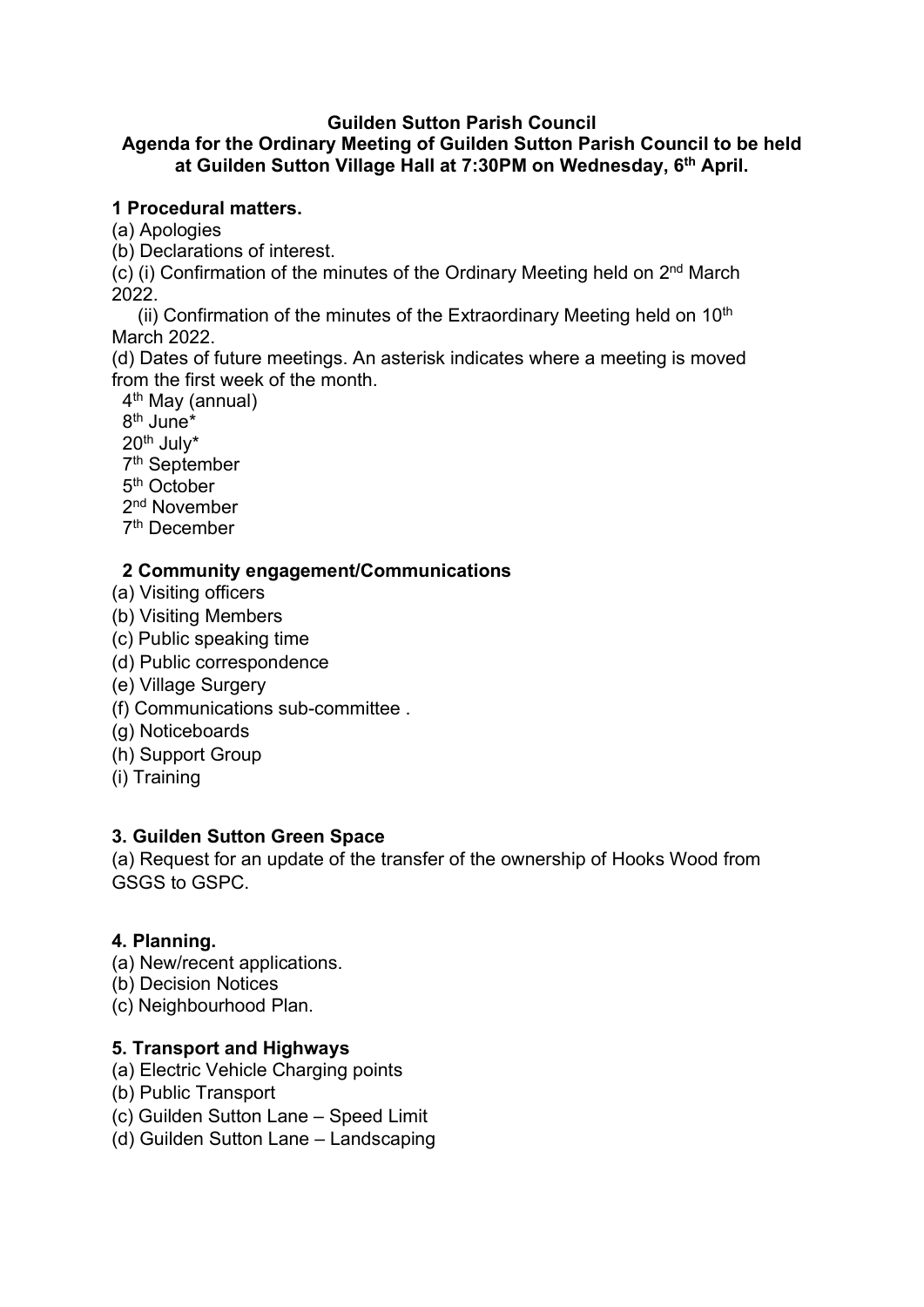#### Guilden Sutton Parish Council

## Agenda for the Ordinary Meeting of Guilden Sutton Parish Council to be held at Guilden Sutton Village Hall at 7:30PM on Wednesday, 6<sup>th</sup> April.

#### 1 Procedural matters.

(a) Apologies

(b) Declarations of interest.

 $(c)$  (i) Confirmation of the minutes of the Ordinary Meeting held on  $2<sup>nd</sup>$  March 2022.

(ii) Confirmation of the minutes of the Extraordinary Meeting held on  $10<sup>th</sup>$ March 2022.

(d) Dates of future meetings. An asterisk indicates where a meeting is moved from the first week of the month.

4<sup>th</sup> May (annual)

8<sup>th</sup> June\*

20th July\*

7 th September

- 5<sup>th</sup> October
- 2<sup>nd</sup> November

7<sup>th</sup> December

#### 2 Community engagement/Communications

- (a) Visiting officers
- (b) Visiting Members
- (c) Public speaking time
- (d) Public correspondence
- (e) Village Surgery
- (f) Communications sub-committee .
- (g) Noticeboards
- (h) Support Group
- (i) Training

## 3. Guilden Sutton Green Space

(a) Request for an update of the transfer of the ownership of Hooks Wood from GSGS to GSPC.

## 4. Planning.

- (a) New/recent applications.
- (b) Decision Notices
- (c) Neighbourhood Plan.

## 5. Transport and Highways

- (a) Electric Vehicle Charging points
- (b) Public Transport
- (c) Guilden Sutton Lane Speed Limit
- (d) Guilden Sutton Lane Landscaping